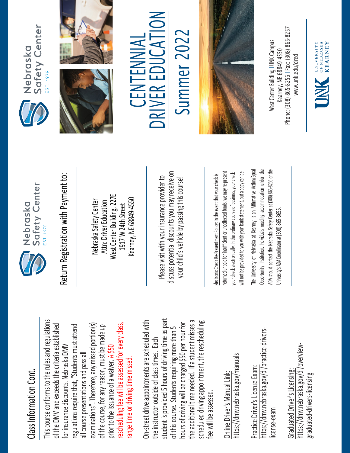## Class Information Cont. Class Information Cont.

This course conforms to the rules and regulations This course conforms to the rules and regulations rescheduling fee will be assessed for every class, examinations". Therefore, any missed portion(s) of the DMV and exceeds the criteria established regulations require that, "Students must attend rescheduling fee will be assessed for every class, of the DMV and exceeds the criteria established examinations". Therefore, any missed portion(s) of the course, for any reason, must be made up regulations require that, "Students must attend of the course, for any reason, must be made up for insurance discounts. Nebraska DMV for insurance discounts. Nebraska DMV prior to the issuance of a waiver. A \$50 all course presentations and pass all all course presentations and pass all range time or driving time missed. range time or driving time missed. prior to the issuance of a waiver.

student is provided 5 hours of driving time as part On-street drive appointments are scheduled with student is provided 5 hours of driving time as part the additional time needed. If a student misses a scheduled driving appointment, the rescheduling the additional time needed. If a student misses a On-street drive appointments are scheduled with hours of driving will be charged \$50 per hour for scheduled driving appointment, the rescheduling hours of driving will be charged \$50 per hour for of this course. Students requiring more than 5 of this course. Students requiring more than 5 the instructor outside of class times. Each the instructor outside of class times. Each fee will be assessed. fee will be assessed

https://dmv.nebraska.gov/manuals https://dmv.nebraska.gov/manuals Online Driver's Manual Link: Online Driver's Manual Link:

https://dmv.nebraska.gov/dl/practice-drivershttps://dmv.nebraska.gov/dl/practice-drivers-Practice Driver's License Exam: Practice Driver's License Exam: license-exam icense-exam

https://dmv.nebraska.gov/dl/overviewhttps://dmv.nebraska.gov/dl/overview-Graduated Driver's Licensing: Graduated Driver's Licensing: graduated-drivers-licensing graduated-drivers-licensing



Nebraska Safety Center Attn: Driver Education West Center Building, 227E 1917 W 24th Street Kearney, NE 68849-4550

Please visit with your insurance provider to discuss potential discounts you may receive on potential discounts you may receive on your child's vehicle by passing this course! Return Registration with Payment to:<br>
Nebraska Safety Center<br>
Attn: Driver Education<br>
1917 W 24th Street<br>
Rearney, NE 68849-4550<br>
Rease visit with your insurance provider to<br>
Please visit with your insurance provider to<br>
y

returned unpaid for insufficient or uncollected funds, we may re-present a copy can be. returned unpaid for insufficient or uncollected funds, we may re-present will not be provided to you with your bank statement, but a copy can be. your check electronically. In the ordinary course of business, your check your check electronically. In the ordinary course of business, your check will not be provided to you with your bank statement, but

The University of Nebraska at Kearney is an Affirmative Action/Equal The University of Nebraska at Kearney is an Affirmative Action/Equal Opportunity Institution. Individuals needing accommodation under the ADA should contact the Nebraska Safety Center at (308) 865-8256 or the Opportunity Institution. Individuals needing accommodation under the ADA should contact the Nebraska Safety Center at (308) 865-8256 or the Jniversity's ADA Coordinator at (308) 865-8655. University's ADA Coordinator at (308) 86







 $\sum_{i=1}^{n}$ CENTENNIAL Summer 2022 Summer 202 **CENTENNIAL** R EDUCA E RIV **NC** 



Phone: (308) 865-8256 | Fax: (308) 865-8257 West Center Building I UNK Campus Nest Center Building I UNK Campus -8256 I Fax: (308) 865 Kearney, NE 68849-4550 www.unk.edu/dred [www.unk.edu/dred](http://www.unk.edu/dred) Kearney, NE 68849 Phone: (308) 865

UNIVERSITY<br>
OF NEBRASKA<br>
KFARNEY

**KEARNEY**